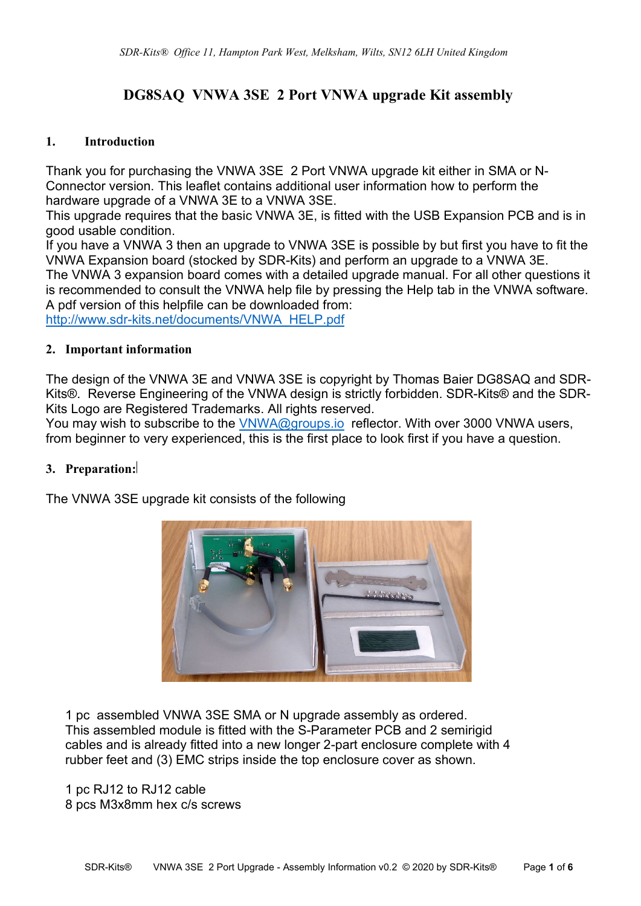# **DG8SAQ VNWA 3SE 2 Port VNWA upgrade Kit assembly**

#### **1. Introduction**

Thank you for purchasing the VNWA 3SE 2 Port VNWA upgrade kit either in SMA or N-Connector version. This leaflet contains additional user information how to perform the hardware upgrade of a VNWA 3E to a VNWA 3SE.

This upgrade requires that the basic VNWA 3E, is fitted with the USB Expansion PCB and is in good usable condition.

If you have a VNWA 3 then an upgrade to VNWA 3SE is possible by but first you have to fit the VNWA Expansion board (stocked by SDR-Kits) and perform an upgrade to a VNWA 3E. The VNWA 3 expansion board comes with a detailed upgrade manual. For all other questions it is recommended to consult the VNWA help file by pressing the Help tab in the VNWA software. A pdf version of this helpfile can be downloaded from:

[http://www.sdr-kits.net/documents/VNWA\\_HELP.pdf](http://www.sdr-kits.net/documents/VNWA_HELP.pdf)

## **2. Important information**

The design of the VNWA 3E and VNWA 3SE is copyright by Thomas Baier DG8SAQ and SDR-Kits®. Reverse Engineering of the VNWA design is strictly forbidden. SDR-Kits® and the SDR-Kits Logo are Registered Trademarks. All rights reserved.

You may wish to subscribe to the [VNWA@groups.io](mailto:VNWA@groups.io) reflector. With over 3000 VNWA users, from beginner to very experienced, this is the first place to look first if you have a question.

## **3. Preparation:**

The VNWA 3SE upgrade kit consists of the following



1 pc assembled VNWA 3SE SMA or N upgrade assembly as ordered. This assembled module is fitted with the S-Parameter PCB and 2 semirigid cables and is already fitted into a new longer 2-part enclosure complete with 4 rubber feet and (3) EMC strips inside the top enclosure cover as shown.

1 pc RJ12 to RJ12 cable 8 pcs M3x8mm hex c/s screws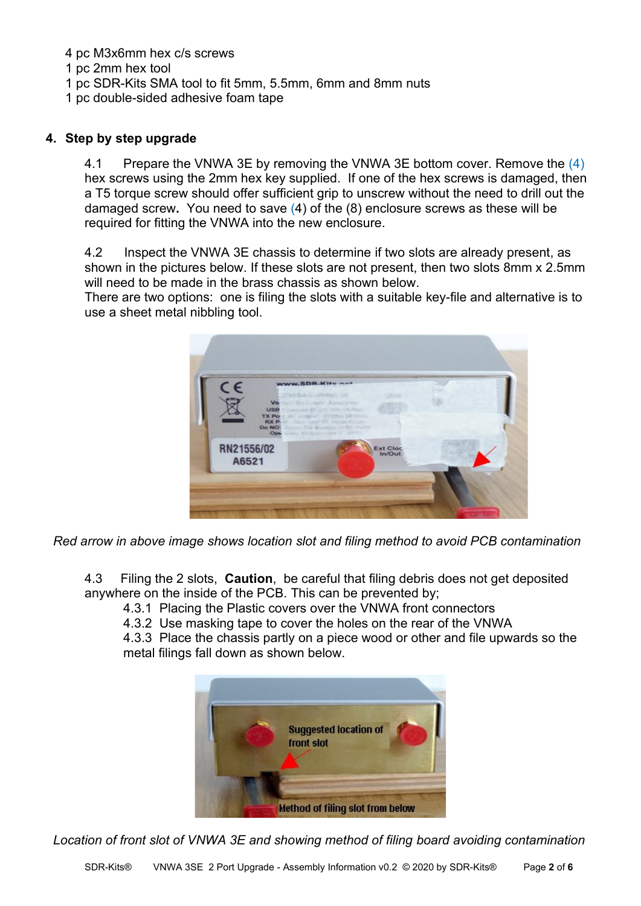- 4 pc M3x6mm hex c/s screws
- 1 pc 2mm hex tool
- 1 pc SDR-Kits SMA tool to fit 5mm, 5.5mm, 6mm and 8mm nuts
- 1 pc double-sided adhesive foam tape

### **4. Step by step upgrade**

4.1 Prepare the VNWA 3E by removing the VNWA 3E bottom cover. Remove the (4) hex screws using the 2mm hex key supplied. If one of the hex screws is damaged, then a T5 torque screw should offer sufficient grip to unscrew without the need to drill out the damaged screw**.** You need to save (4) of the (8) enclosure screws as these will be required for fitting the VNWA into the new enclosure.

4.2 Inspect the VNWA 3E chassis to determine if two slots are already present, as shown in the pictures below. If these slots are not present, then two slots 8mm x 2.5mm will need to be made in the brass chassis as shown below.

There are two options: one is filing the slots with a suitable key-file and alternative is to use a sheet metal nibbling tool.



 *Red arrow in above image shows location slot and filing method to avoid PCB contamination*

4.3 Filing the 2 slots, **Caution**, be careful that filing debris does not get deposited anywhere on the inside of the PCB. This can be prevented by;

4.3.1 Placing the Plastic covers over the VNWA front connectors

4.3.2 Use masking tape to cover the holes on the rear of the VNWA

4.3.3 Place the chassis partly on a piece wood or other and file upwards so the metal filings fall down as shown below.



*Location of front slot of VNWA 3E and showing method of filing board avoiding contamination*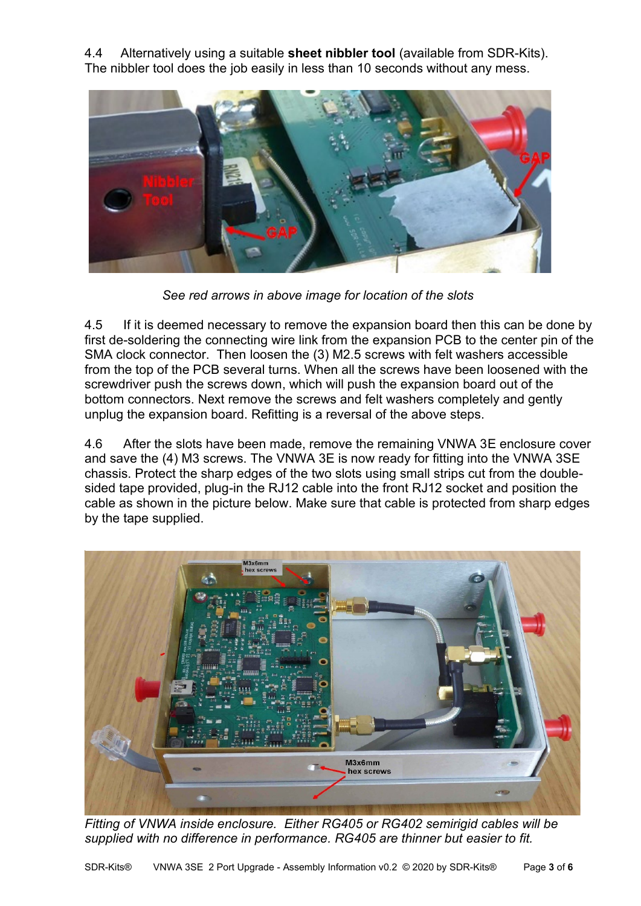4.4 Alternatively using a suitable **sheet nibbler tool** (available from SDR-Kits). The nibbler tool does the job easily in less than 10 seconds without any mess.



*See red arrows in above image for location of the slots*

4.5 If it is deemed necessary to remove the expansion board then this can be done by first de-soldering the connecting wire link from the expansion PCB to the center pin of the SMA clock connector. Then loosen the (3) M2.5 screws with felt washers accessible from the top of the PCB several turns. When all the screws have been loosened with the screwdriver push the screws down, which will push the expansion board out of the bottom connectors. Next remove the screws and felt washers completely and gently unplug the expansion board. Refitting is a reversal of the above steps.

4.6 After the slots have been made, remove the remaining VNWA 3E enclosure cover and save the (4) M3 screws. The VNWA 3E is now ready for fitting into the VNWA 3SE chassis. Protect the sharp edges of the two slots using small strips cut from the doublesided tape provided, plug-in the RJ12 cable into the front RJ12 socket and position the cable as shown in the picture below. Make sure that cable is protected from sharp edges by the tape supplied.



*Fitting of VNWA inside enclosure. Either RG405 or RG402 semirigid cables will be supplied with no difference in performance. RG405 are thinner but easier to fit.*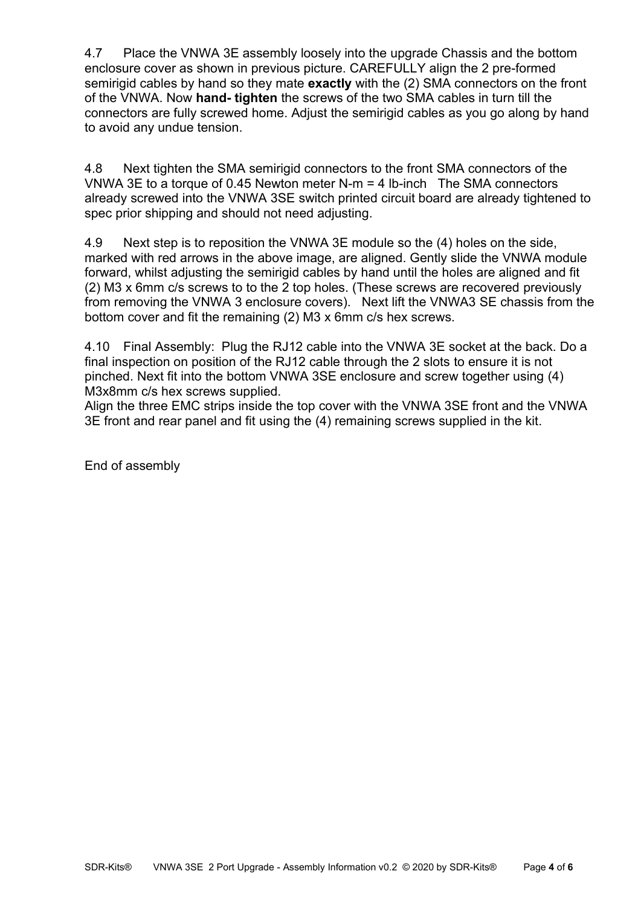4.7 Place the VNWA 3E assembly loosely into the upgrade Chassis and the bottom enclosure cover as shown in previous picture. CAREFULLY align the 2 pre-formed semirigid cables by hand so they mate **exactly** with the (2) SMA connectors on the front of the VNWA. Now **hand- tighten** the screws of the two SMA cables in turn till the connectors are fully screwed home. Adjust the semirigid cables as you go along by hand to avoid any undue tension.

4.8 Next tighten the SMA semirigid connectors to the front SMA connectors of the VNWA 3E to a torque of 0.45 Newton meter N-m  $=$  4 lb-inch The SMA connectors already screwed into the VNWA 3SE switch printed circuit board are already tightened to spec prior shipping and should not need adjusting.

4.9 Next step is to reposition the VNWA 3E module so the (4) holes on the side, marked with red arrows in the above image, are aligned. Gently slide the VNWA module forward, whilst adjusting the semirigid cables by hand until the holes are aligned and fit (2) M3 x 6mm c/s screws to to the 2 top holes. (These screws are recovered previously from removing the VNWA 3 enclosure covers). Next lift the VNWA3 SE chassis from the bottom cover and fit the remaining (2) M3 x 6mm c/s hex screws.

4.10 Final Assembly: Plug the RJ12 cable into the VNWA 3E socket at the back. Do a final inspection on position of the RJ12 cable through the 2 slots to ensure it is not pinched. Next fit into the bottom VNWA 3SE enclosure and screw together using (4) M3x8mm c/s hex screws supplied.

Align the three EMC strips inside the top cover with the VNWA 3SE front and the VNWA 3E front and rear panel and fit using the (4) remaining screws supplied in the kit.

End of assembly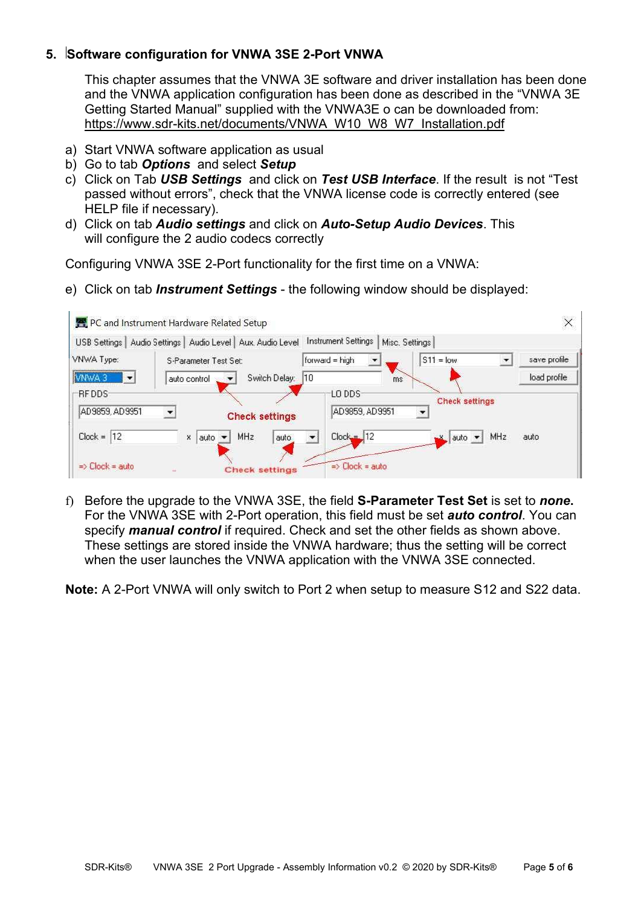# **5. Software configuration for VNWA 3SE 2-Port VNWA**

This chapter assumes that the VNWA 3E software and driver installation has been done and the VNWA application configuration has been done as described in the "VNWA 3E Getting Started Manual" supplied with the VNWA3E o can be downloaded from: [https://www.sdr-kits.net/documents/VNWA\\_W10\\_W8\\_W7\\_Installation.pdf](https://www.sdr-kits.net/documents/VNWA_W10_W8_W7_Installation.pdf)

- a) Start VNWA software application as usual
- b) Go to tab *Options* and select *Setup*
- c) Click on Tab *USB Settings* and click on *Test USB Interface*. If the result is not "Test passed without errors", check that the VNWA license code is correctly entered (see HELP file if necessary).
- d) Click on tab *Audio settings* and click on *Auto-Setup Audio Devices*. This will configure the 2 audio codecs correctly

Configuring VNWA 3SE 2-Port functionality for the first time on a VNWA:

e) Click on tab *Instrument Settings* - the following window should be displayed:



f) Before the upgrade to the VNWA 3SE, the field **S-Parameter Test Set** is set to *none***.** For the VNWA 3SE with 2-Port operation, this field must be set *auto control*. You can specify *manual control* if required. Check and set the other fields as shown above. These settings are stored inside the VNWA hardware; thus the setting will be correct when the user launches the VNWA application with the VNWA 3SE connected.

**Note:** A 2-Port VNWA will only switch to Port 2 when setup to measure S12 and S22 data.